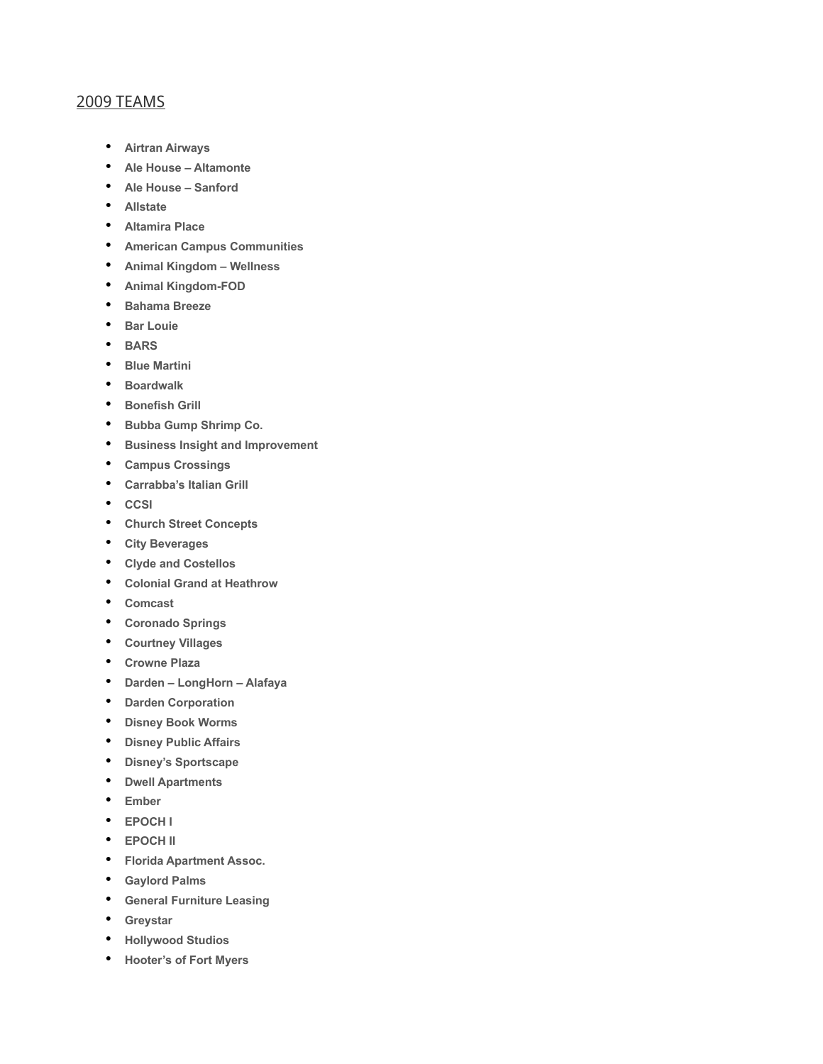## 2009 TEAMS

- **Airtran Airways**
- **Ale House Altamonte**
- **Ale House Sanford**
- **Allstate**
- **Altamira Place**
- **American Campus Communities**
- **Animal Kingdom Wellness**
- **Animal Kingdom-FOD**
- **Bahama Breeze**
- **Bar Louie**
- **BARS**
- **Blue Martini**
- **Boardwalk**
- **Bonefish Grill**
- **Bubba Gump Shrimp Co.**
- **Business Insight and Improvement**
- **Campus Crossings**
- **Carrabba's Italian Grill**
- **CCSI**
- **Church Street Concepts**
- **City Beverages**
- **Clyde and Costellos**
- **Colonial Grand at Heathrow**
- **Comcast**
- **Coronado Springs**
- **Courtney Villages**
- **Crowne Plaza**
- **Darden LongHorn Alafaya**
- **Darden Corporation**
- **Disney Book Worms**
- **Disney Public Affairs**
- **Disney's Sportscape**
- **Dwell Apartments**
- **Ember**
- **EPOCH I**
- **EPOCH II**
- **Florida Apartment Assoc.**
- **Gaylord Palms**
- **General Furniture Leasing**
- **Greystar**
- **Hollywood Studios**
- **Hooter's of Fort Myers**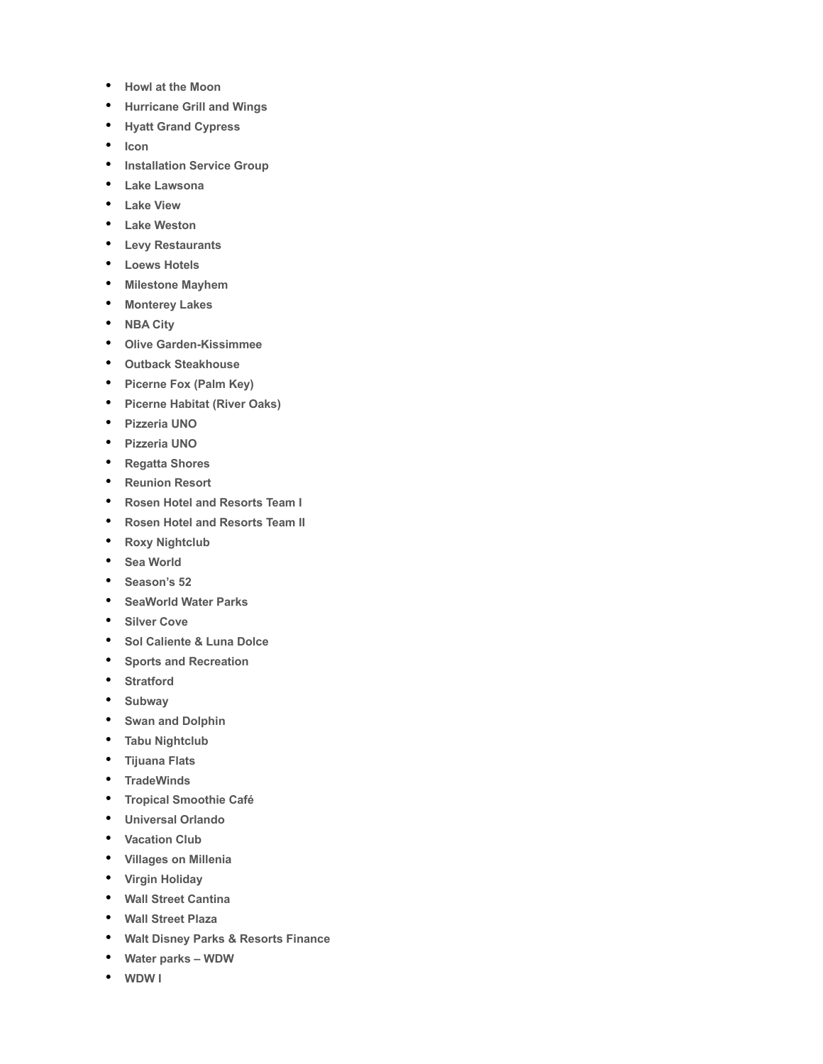- **Howl at the Moon**
- **Hurricane Grill and Wings**
- **Hyatt Grand Cypress**
- **Icon**
- **Installation Service Group**
- **Lake Lawsona**
- **Lake View**
- **Lake Weston**
- **Levy Restaurants**
- **Loews Hotels**
- **Milestone Mayhem**
- **Monterey Lakes**
- **NBA City**
- **Olive Garden-Kissimmee**
- **Outback Steakhouse**
- **Picerne Fox (Palm Key)**
- **Picerne Habitat (River Oaks)**
- **Pizzeria UNO**
- **Pizzeria UNO**
- **Regatta Shores**
- **Reunion Resort**
- **Rosen Hotel and Resorts Team I**
- **Rosen Hotel and Resorts Team II**
- **Roxy Nightclub**
- **Sea World**
- **Season's 52**
- **SeaWorld Water Parks**
- **Silver Cove**
- **Sol Caliente & Luna Dolce**
- **Sports and Recreation**
- **Stratford**
- **Subway**
- **Swan and Dolphin**
- **Tabu Nightclub**
- **Tijuana Flats**
- **TradeWinds**
- **Tropical Smoothie Café**
- **Universal Orlando**
- **Vacation Club**
- **Villages on Millenia**
- **Virgin Holiday**
- **Wall Street Cantina**
- **Wall Street Plaza**
- **Walt Disney Parks & Resorts Finance**
- **Water parks WDW**
- **WDW I**